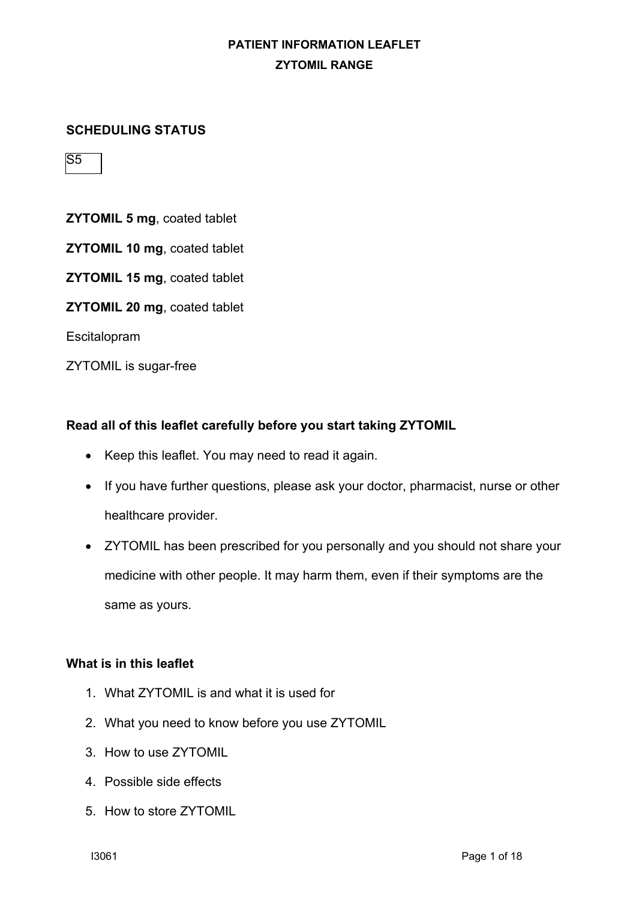### **SCHEDULING STATUS**

S5

**ZYTOMIL 5 mg**, coated tablet

**ZYTOMIL 10 mg**, coated tablet

**ZYTOMIL 15 mg**, coated tablet

**ZYTOMIL 20 mg**, coated tablet

Escitalopram

ZYTOMIL is sugar-free

### **Read all of this leaflet carefully before you start taking ZYTOMIL**

- Keep this leaflet. You may need to read it again.
- If you have further questions, please ask your doctor, pharmacist, nurse or other healthcare provider.
- ZYTOMIL has been prescribed for you personally and you should not share your medicine with other people. It may harm them, even if their symptoms are the same as yours.

### **What is in this leaflet**

- 1. What ZYTOMIL is and what it is used for
- 2. What you need to know before you use ZYTOMIL
- 3. How to use ZYTOMIL
- 4. Possible side effects
- 5. How to store ZYTOMIL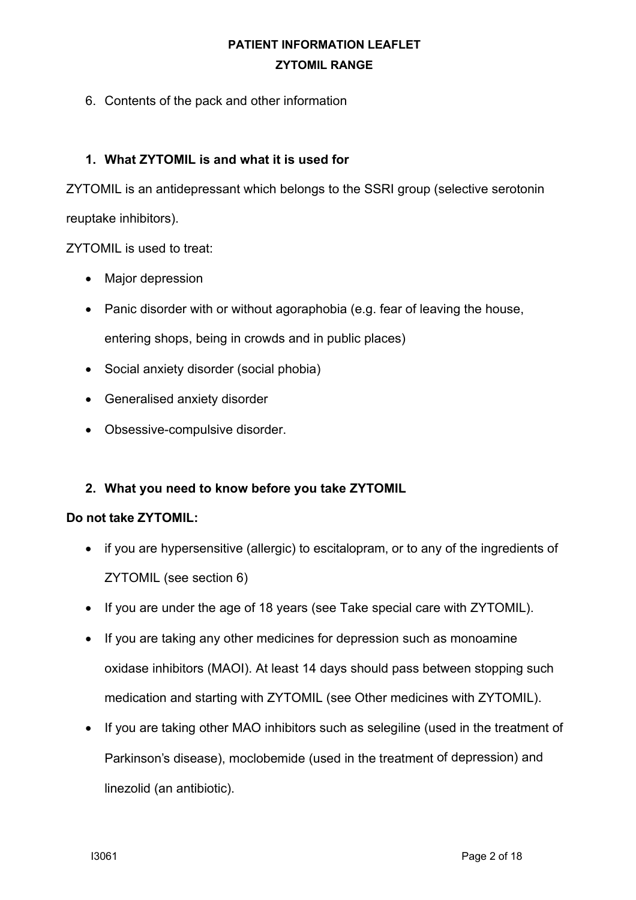6. Contents of the pack and other information

## **1. What ZYTOMIL is and what it is used for**

ZYTOMIL is an antidepressant which belongs to the SSRI group (selective serotonin reuptake inhibitors).

ZYTOMIL is used to treat:

- Major depression
- Panic disorder with or without agoraphobia (e.g. fear of leaving the house, entering shops, being in crowds and in public places)
- Social anxiety disorder (social phobia)
- Generalised anxiety disorder
- Obsessive-compulsive disorder.

## **2. What you need to know before you take ZYTOMIL**

### **Do not take ZYTOMIL:**

- if you are hypersensitive (allergic) to escitalopram, or to any of the ingredients of ZYTOMIL (see section 6)
- If you are under the age of 18 years (see Take special care with ZYTOMIL).
- If you are taking any other medicines for depression such as monoamine oxidase inhibitors (MAOI). At least 14 days should pass between stopping such medication and starting with ZYTOMIL (see Other medicines with ZYTOMIL).
- If you are taking other MAO inhibitors such as selegiline (used in the treatment of Parkinson's disease), moclobemide (used in the treatment of depression) and linezolid (an antibiotic).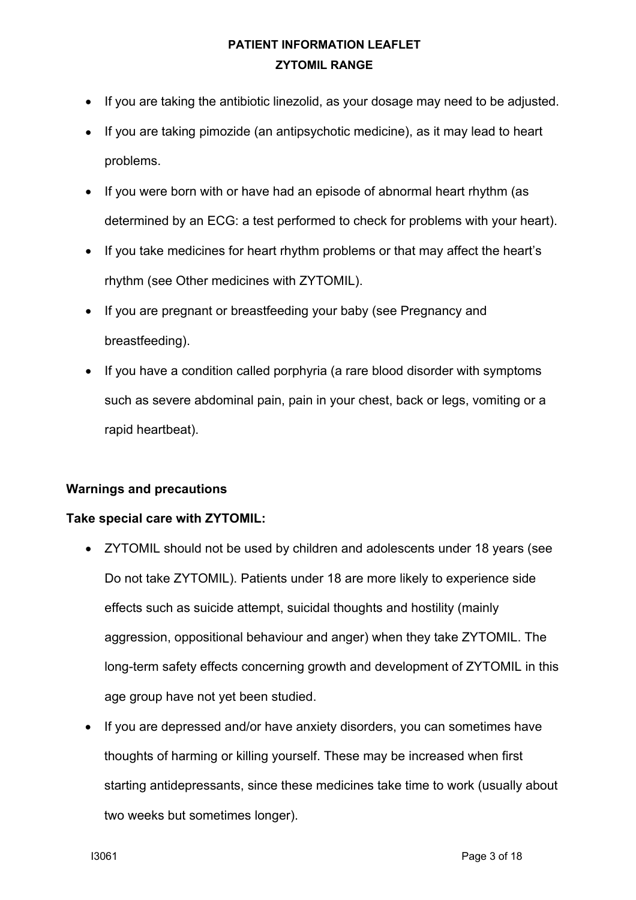- If you are taking the antibiotic linezolid, as your dosage may need to be adjusted.
- If you are taking pimozide (an antipsychotic medicine), as it may lead to heart problems.
- If you were born with or have had an episode of abnormal heart rhythm (as determined by an ECG: a test performed to check for problems with your heart).
- If you take medicines for heart rhythm problems or that may affect the heart's rhythm (see Other medicines with ZYTOMIL).
- If you are pregnant or breastfeeding your baby (see Pregnancy and breastfeeding).
- If you have a condition called porphyria (a rare blood disorder with symptoms such as severe abdominal pain, pain in your chest, back or legs, vomiting or a rapid heartbeat).

### **Warnings and precautions**

### **Take special care with ZYTOMIL:**

- ZYTOMIL should not be used by children and adolescents under 18 years (see Do not take ZYTOMIL). Patients under 18 are more likely to experience side effects such as suicide attempt, suicidal thoughts and hostility (mainly aggression, oppositional behaviour and anger) when they take ZYTOMIL. The long-term safety effects concerning growth and development of ZYTOMIL in this age group have not yet been studied.
- If you are depressed and/or have anxiety disorders, you can sometimes have thoughts of harming or killing yourself. These may be increased when first starting antidepressants, since these medicines take time to work (usually about two weeks but sometimes longer).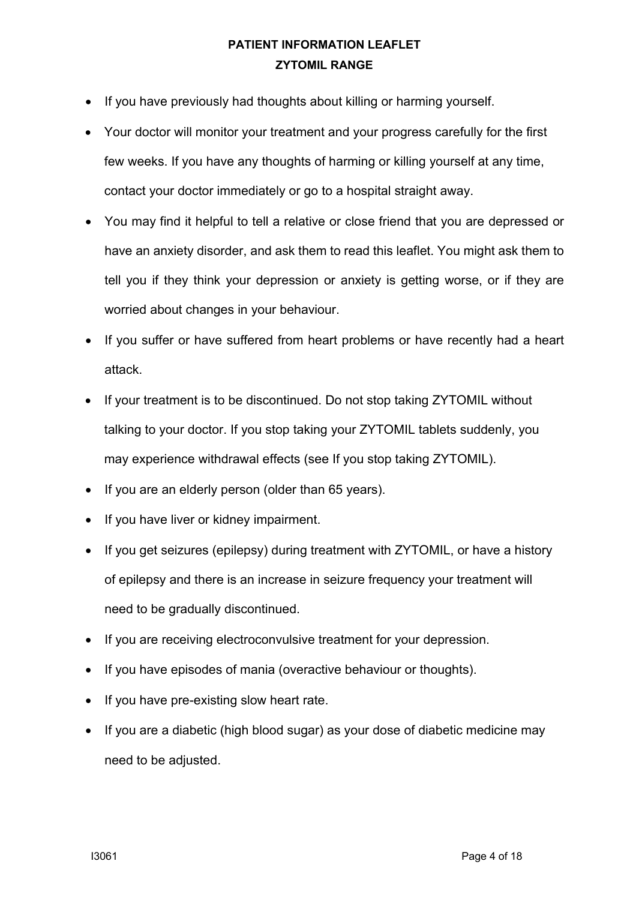- If you have previously had thoughts about killing or harming yourself.
- Your doctor will monitor your treatment and your progress carefully for the first few weeks. If you have any thoughts of harming or killing yourself at any time, contact your doctor immediately or go to a hospital straight away.
- You may find it helpful to tell a relative or close friend that you are depressed or have an anxiety disorder, and ask them to read this leaflet. You might ask them to tell you if they think your depression or anxiety is getting worse, or if they are worried about changes in your behaviour.
- If you suffer or have suffered from heart problems or have recently had a heart attack.
- If your treatment is to be discontinued. Do not stop taking ZYTOMIL without talking to your doctor. If you stop taking your ZYTOMIL tablets suddenly, you may experience withdrawal effects (see If you stop taking ZYTOMIL).
- If you are an elderly person (older than 65 years).
- If you have liver or kidney impairment.
- If you get seizures (epilepsy) during treatment with ZYTOMIL, or have a history of epilepsy and there is an increase in seizure frequency your treatment will need to be gradually discontinued.
- If you are receiving electroconvulsive treatment for your depression.
- If you have episodes of mania (overactive behaviour or thoughts).
- If you have pre-existing slow heart rate.
- If you are a diabetic (high blood sugar) as your dose of diabetic medicine may need to be adjusted.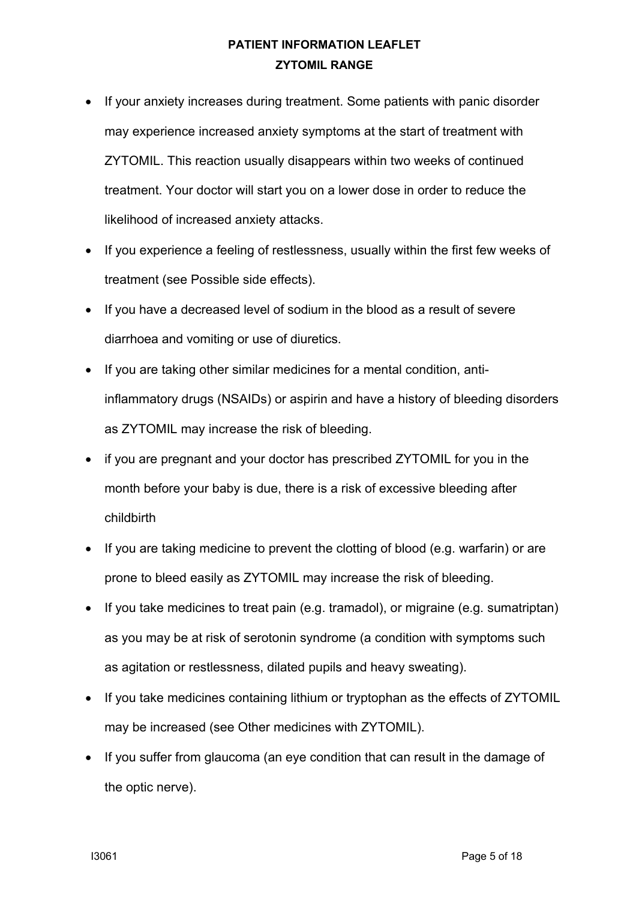- If your anxiety increases during treatment. Some patients with panic disorder may experience increased anxiety symptoms at the start of treatment with ZYTOMIL. This reaction usually disappears within two weeks of continued treatment. Your doctor will start you on a lower dose in order to reduce the likelihood of increased anxiety attacks.
- If you experience a feeling of restlessness, usually within the first few weeks of treatment (see Possible side effects).
- If you have a decreased level of sodium in the blood as a result of severe diarrhoea and vomiting or use of diuretics.
- If you are taking other similar medicines for a mental condition, antiinflammatory drugs (NSAIDs) or aspirin and have a history of bleeding disorders as ZYTOMIL may increase the risk of bleeding.
- if you are pregnant and your doctor has prescribed ZYTOMIL for you in the month before your baby is due, there is a risk of excessive bleeding after childbirth
- If you are taking medicine to prevent the clotting of blood (e.g. warfarin) or are prone to bleed easily as ZYTOMIL may increase the risk of bleeding.
- If you take medicines to treat pain (e.g. tramadol), or migraine (e.g. sumatriptan) as you may be at risk of serotonin syndrome (a condition with symptoms such as agitation or restlessness, dilated pupils and heavy sweating).
- If you take medicines containing lithium or tryptophan as the effects of ZYTOMIL may be increased (see Other medicines with ZYTOMIL).
- If you suffer from glaucoma (an eye condition that can result in the damage of the optic nerve).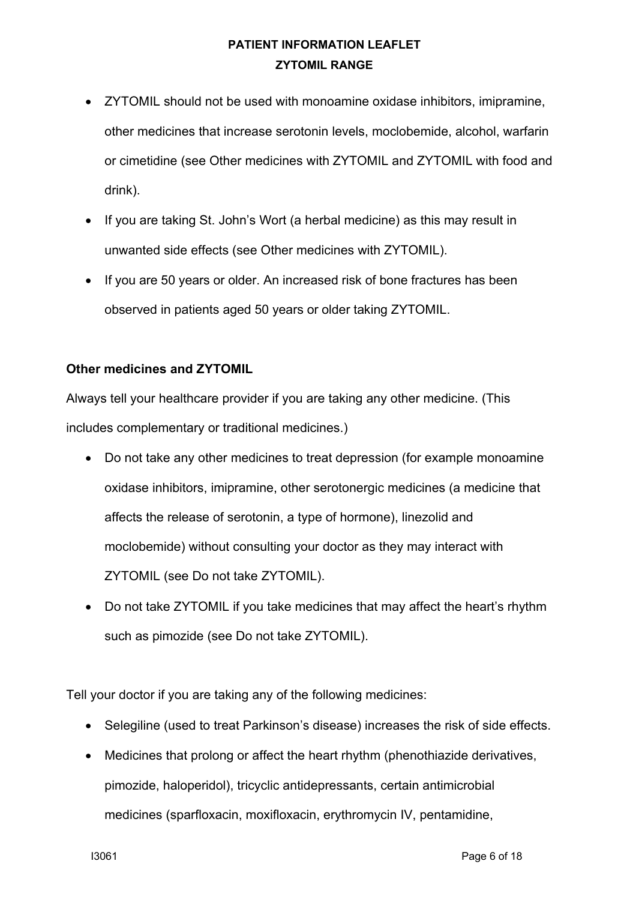- ZYTOMIL should not be used with monoamine oxidase inhibitors, imipramine, other medicines that increase serotonin levels, moclobemide, alcohol, warfarin or cimetidine (see Other medicines with ZYTOMIL and ZYTOMIL with food and drink).
- If you are taking St. John's Wort (a herbal medicine) as this may result in unwanted side effects (see Other medicines with ZYTOMIL).
- If you are 50 years or older. An increased risk of bone fractures has been observed in patients aged 50 years or older taking ZYTOMIL.

## **Other medicines and ZYTOMIL**

Always tell your healthcare provider if you are taking any other medicine. (This includes complementary or traditional medicines.)

- Do not take any other medicines to treat depression (for example monoamine oxidase inhibitors, imipramine, other serotonergic medicines (a medicine that affects the release of serotonin, a type of hormone), linezolid and moclobemide) without consulting your doctor as they may interact with ZYTOMIL (see Do not take ZYTOMIL).
- Do not take ZYTOMIL if you take medicines that may affect the heart's rhythm such as pimozide (see Do not take ZYTOMIL).

Tell your doctor if you are taking any of the following medicines:

- Selegiline (used to treat Parkinson's disease) increases the risk of side effects.
- Medicines that prolong or affect the heart rhythm (phenothiazide derivatives, pimozide, haloperidol), tricyclic antidepressants, certain antimicrobial medicines (sparfloxacin, moxifloxacin, erythromycin IV, pentamidine,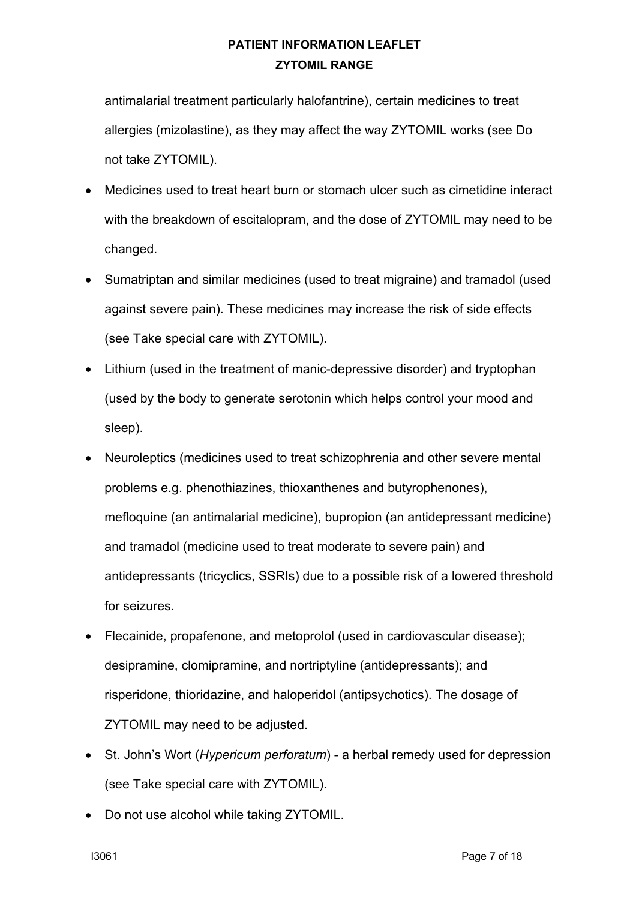antimalarial treatment particularly halofantrine), certain medicines to treat allergies (mizolastine), as they may affect the way ZYTOMIL works (see Do not take ZYTOMIL).

- Medicines used to treat heart burn or stomach ulcer such as cimetidine interact with the breakdown of escitalopram, and the dose of ZYTOMIL may need to be changed.
- Sumatriptan and similar medicines (used to treat migraine) and tramadol (used against severe pain). These medicines may increase the risk of side effects (see Take special care with ZYTOMIL).
- Lithium (used in the treatment of manic-depressive disorder) and tryptophan (used by the body to generate serotonin which helps control your mood and sleep).
- Neuroleptics (medicines used to treat schizophrenia and other severe mental problems e.g. phenothiazines, thioxanthenes and butyrophenones), mefloquine (an antimalarial medicine), bupropion (an antidepressant medicine) and tramadol (medicine used to treat moderate to severe pain) and antidepressants (tricyclics, SSRIs) due to a possible risk of a lowered threshold for seizures.
- Flecainide, propafenone, and metoprolol (used in cardiovascular disease); desipramine, clomipramine, and nortriptyline (antidepressants); and risperidone, thioridazine, and haloperidol (antipsychotics). The dosage of ZYTOMIL may need to be adjusted.
- St. John's Wort (*Hypericum perforatum*) a herbal remedy used for depression (see Take special care with ZYTOMIL).
- Do not use alcohol while taking ZYTOMIL.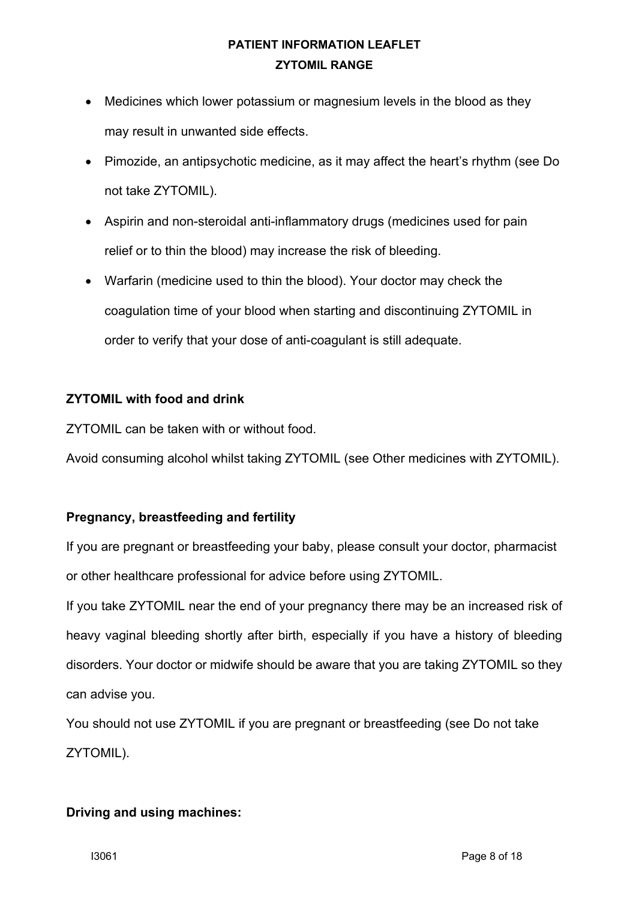- Medicines which lower potassium or magnesium levels in the blood as they may result in unwanted side effects.
- Pimozide, an antipsychotic medicine, as it may affect the heart's rhythm (see Do not take ZYTOMIL).
- Aspirin and non-steroidal anti-inflammatory drugs (medicines used for pain relief or to thin the blood) may increase the risk of bleeding.
- Warfarin (medicine used to thin the blood). Your doctor may check the coagulation time of your blood when starting and discontinuing ZYTOMIL in order to verify that your dose of anti-coagulant is still adequate.

### **ZYTOMIL with food and drink**

ZYTOMIL can be taken with or without food.

Avoid consuming alcohol whilst taking ZYTOMIL (see Other medicines with ZYTOMIL).

### **Pregnancy, breastfeeding and fertility**

If you are pregnant or breastfeeding your baby, please consult your doctor, pharmacist or other healthcare professional for advice before using ZYTOMIL.

If you take ZYTOMIL near the end of your pregnancy there may be an increased risk of heavy vaginal bleeding shortly after birth, especially if you have a history of bleeding disorders. Your doctor or midwife should be aware that you are taking ZYTOMIL so they can advise you.

You should not use ZYTOMIL if you are pregnant or breastfeeding (see Do not take ZYTOMIL).

### **Driving and using machines:**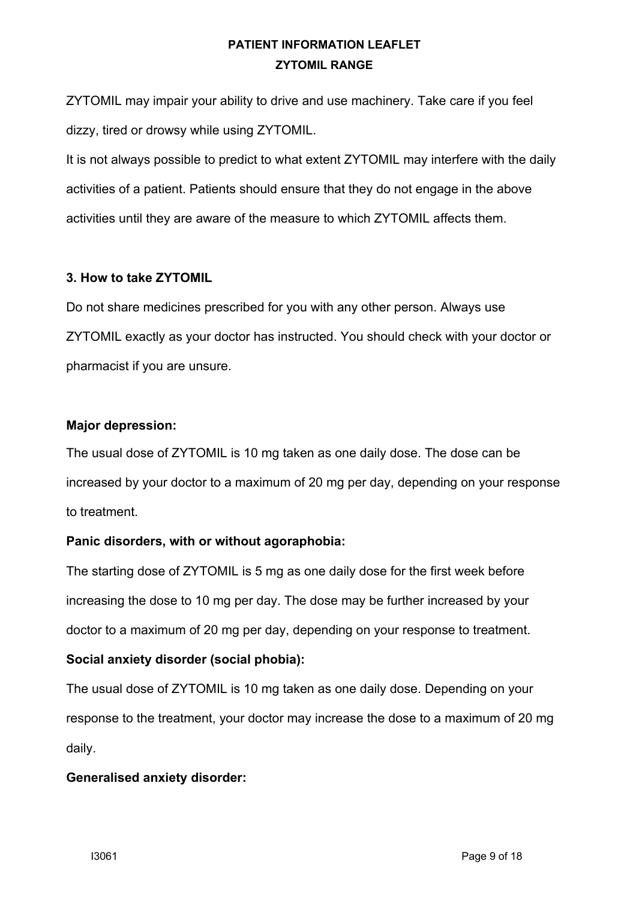ZYTOMIL may impair your ability to drive and use machinery. Take care if you feel dizzy, tired or drowsy while using ZYTOMIL.

It is not always possible to predict to what extent ZYTOMIL may interfere with the daily activities of a patient. Patients should ensure that they do not engage in the above activities until they are aware of the measure to which ZYTOMIL affects them.

### **3. How to take ZYTOMIL**

Do not share medicines prescribed for you with any other person. Always use ZYTOMIL exactly as your doctor has instructed. You should check with your doctor or pharmacist if you are unsure.

### **Major depression:**

The usual dose of ZYTOMIL is 10 mg taken as one daily dose. The dose can be increased by your doctor to a maximum of 20 mg per day, depending on your response to treatment.

## **Panic disorders, with or without agoraphobia:**

The starting dose of ZYTOMIL is 5 mg as one daily dose for the first week before increasing the dose to 10 mg per day. The dose may be further increased by your doctor to a maximum of 20 mg per day, depending on your response to treatment.

## **Social anxiety disorder (social phobia):**

The usual dose of ZYTOMIL is 10 mg taken as one daily dose. Depending on your response to the treatment, your doctor may increase the dose to a maximum of 20 mg daily.

### **Generalised anxiety disorder:**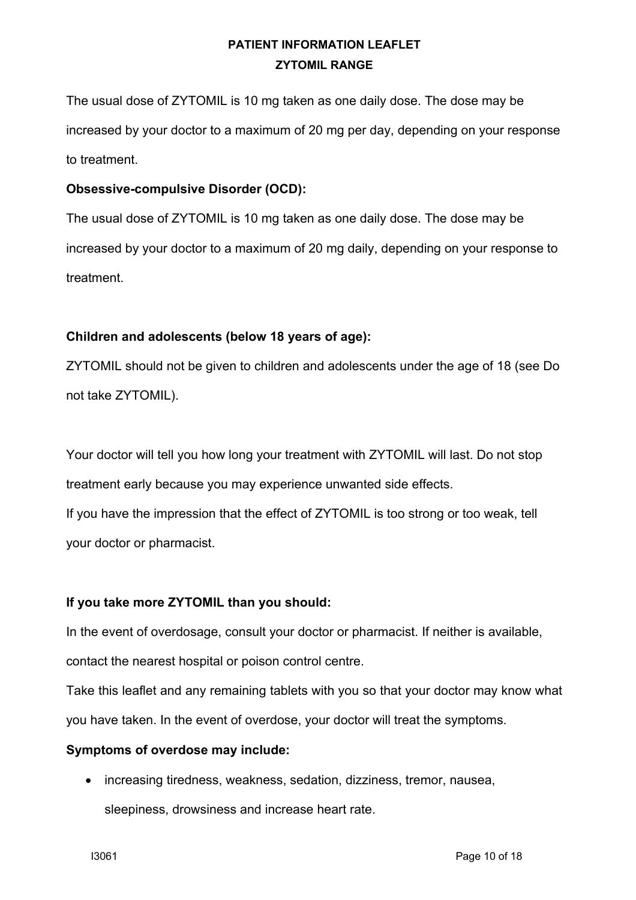The usual dose of ZYTOMIL is 10 mg taken as one daily dose. The dose may be increased by your doctor to a maximum of 20 mg per day, depending on your response to treatment.

### **Obsessive-compulsive Disorder (OCD):**

The usual dose of ZYTOMIL is 10 mg taken as one daily dose. The dose may be increased by your doctor to a maximum of 20 mg daily, depending on your response to treatment.

## **Children and adolescents (below 18 years of age):**

ZYTOMIL should not be given to children and adolescents under the age of 18 (see Do not take ZYTOMIL).

Your doctor will tell you how long your treatment with ZYTOMIL will last. Do not stop treatment early because you may experience unwanted side effects. If you have the impression that the effect of ZYTOMIL is too strong or too weak, tell

your doctor or pharmacist.

## **If you take more ZYTOMIL than you should:**

In the event of overdosage, consult your doctor or pharmacist. If neither is available,

contact the nearest hospital or poison control centre.

Take this leaflet and any remaining tablets with you so that your doctor may know what you have taken. In the event of overdose, your doctor will treat the symptoms.

## **Symptoms of overdose may include:**

• increasing tiredness, weakness, sedation, dizziness, tremor, nausea, sleepiness, drowsiness and increase heart rate.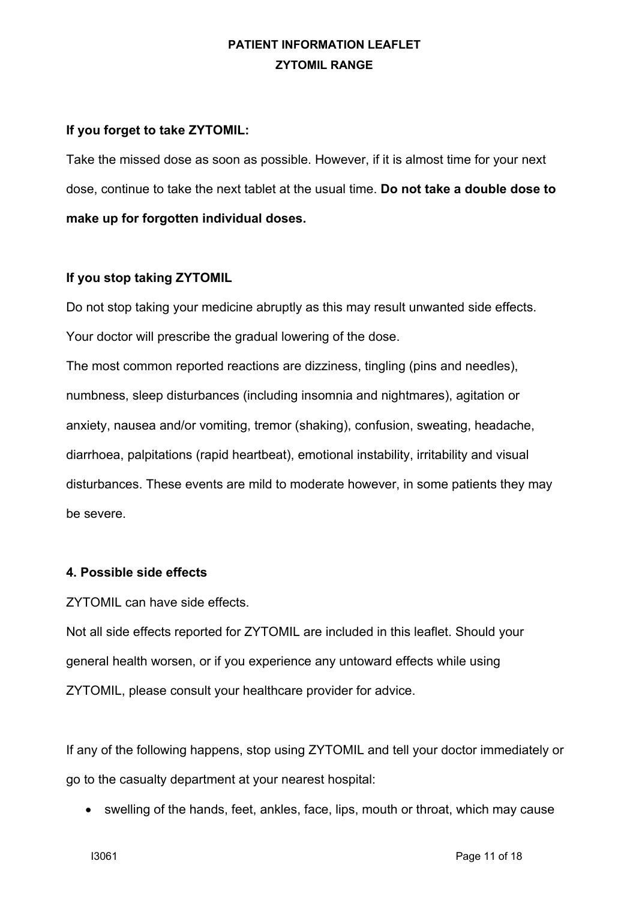### **If you forget to take ZYTOMIL:**

Take the missed dose as soon as possible. However, if it is almost time for your next dose, continue to take the next tablet at the usual time. **Do not take a double dose to make up for forgotten individual doses.**

### **If you stop taking ZYTOMIL**

Do not stop taking your medicine abruptly as this may result unwanted side effects. Your doctor will prescribe the gradual lowering of the dose.

The most common reported reactions are dizziness, tingling (pins and needles), numbness, sleep disturbances (including insomnia and nightmares), agitation or anxiety, nausea and/or vomiting, tremor (shaking), confusion, sweating, headache, diarrhoea, palpitations (rapid heartbeat), emotional instability, irritability and visual disturbances. These events are mild to moderate however, in some patients they may be severe.

### **4. Possible side effects**

ZYTOMIL can have side effects.

Not all side effects reported for ZYTOMIL are included in this leaflet. Should your general health worsen, or if you experience any untoward effects while using ZYTOMIL, please consult your healthcare provider for advice.

If any of the following happens, stop using ZYTOMIL and tell your doctor immediately or go to the casualty department at your nearest hospital:

• swelling of the hands, feet, ankles, face, lips, mouth or throat, which may cause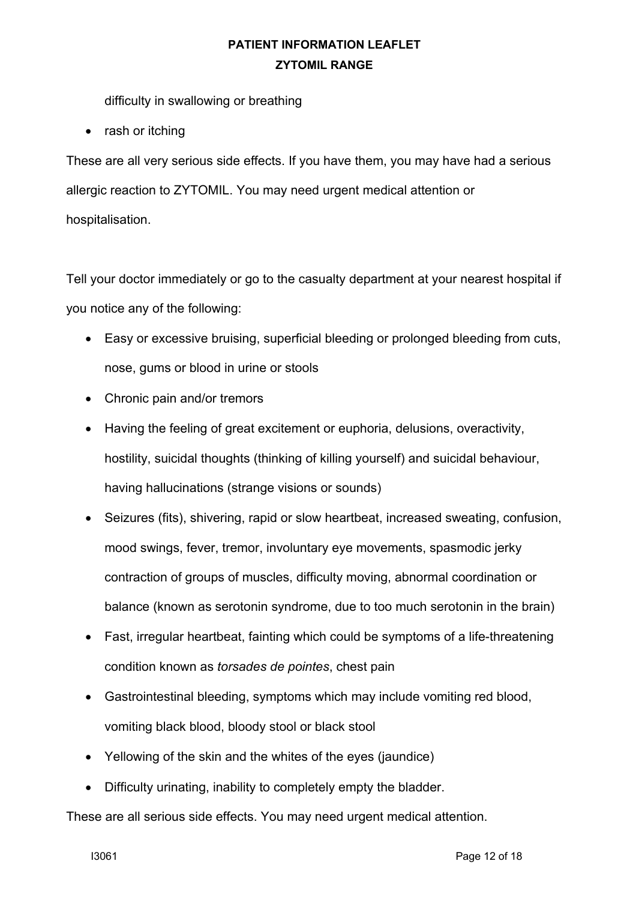difficulty in swallowing or breathing

• rash or itching

These are all very serious side effects. If you have them, you may have had a serious allergic reaction to ZYTOMIL. You may need urgent medical attention or hospitalisation.

Tell your doctor immediately or go to the casualty department at your nearest hospital if you notice any of the following:

- Easy or excessive bruising, superficial bleeding or prolonged bleeding from cuts, nose, gums or blood in urine or stools
- Chronic pain and/or tremors
- Having the feeling of great excitement or euphoria, delusions, overactivity, hostility, suicidal thoughts (thinking of killing yourself) and suicidal behaviour, having hallucinations (strange visions or sounds)
- Seizures (fits), shivering, rapid or slow heartbeat, increased sweating, confusion, mood swings, fever, tremor, involuntary eye movements, spasmodic jerky contraction of groups of muscles, difficulty moving, abnormal coordination or balance (known as serotonin syndrome, due to too much serotonin in the brain)
- Fast, irregular heartbeat, fainting which could be symptoms of a life-threatening condition known as *torsades de pointes*, chest pain
- Gastrointestinal bleeding, symptoms which may include vomiting red blood, vomiting black blood, bloody stool or black stool
- Yellowing of the skin and the whites of the eyes (jaundice)
- Difficulty urinating, inability to completely empty the bladder.

These are all serious side effects. You may need urgent medical attention.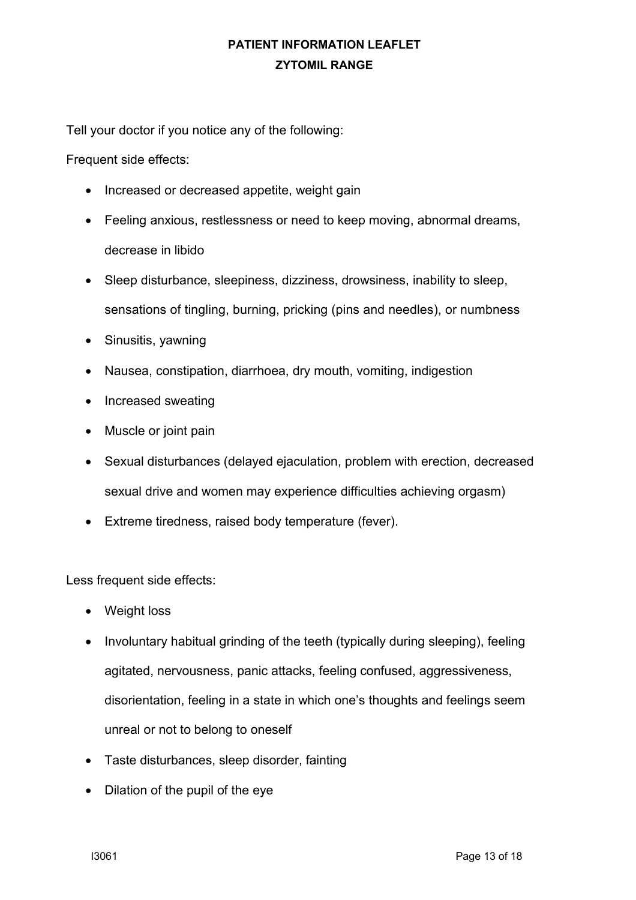Tell your doctor if you notice any of the following:

Frequent side effects:

- Increased or decreased appetite, weight gain
- Feeling anxious, restlessness or need to keep moving, abnormal dreams, decrease in libido
- Sleep disturbance, sleepiness, dizziness, drowsiness, inability to sleep, sensations of tingling, burning, pricking (pins and needles), or numbness
- Sinusitis, yawning
- Nausea, constipation, diarrhoea, dry mouth, vomiting, indigestion
- Increased sweating
- Muscle or joint pain
- Sexual disturbances (delayed ejaculation, problem with erection, decreased sexual drive and women may experience difficulties achieving orgasm)
- Extreme tiredness, raised body temperature (fever).

Less frequent side effects:

- Weight loss
- Involuntary habitual grinding of the teeth (typically during sleeping), feeling agitated, nervousness, panic attacks, feeling confused, aggressiveness, disorientation, feeling in a state in which one's thoughts and feelings seem unreal or not to belong to oneself
- Taste disturbances, sleep disorder, fainting
- Dilation of the pupil of the eye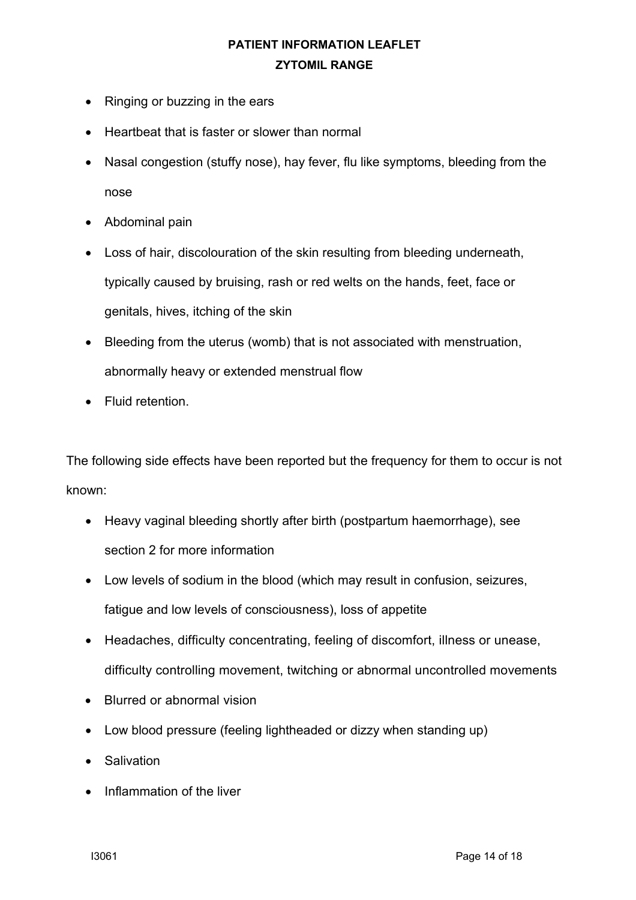- Ringing or buzzing in the ears
- Heartbeat that is faster or slower than normal
- Nasal congestion (stuffy nose), hay fever, flu like symptoms, bleeding from the nose
- Abdominal pain
- Loss of hair, discolouration of the skin resulting from bleeding underneath, typically caused by bruising, rash or red welts on the hands, feet, face or genitals, hives, itching of the skin
- Bleeding from the uterus (womb) that is not associated with menstruation, abnormally heavy or extended menstrual flow
- Fluid retention.

The following side effects have been reported but the frequency for them to occur is not known:

- Heavy vaginal bleeding shortly after birth (postpartum haemorrhage), see section 2 for more information
- Low levels of sodium in the blood (which may result in confusion, seizures, fatigue and low levels of consciousness), loss of appetite
- Headaches, difficulty concentrating, feeling of discomfort, illness or unease, difficulty controlling movement, twitching or abnormal uncontrolled movements
- Blurred or abnormal vision
- Low blood pressure (feeling lightheaded or dizzy when standing up)
- Salivation
- Inflammation of the liver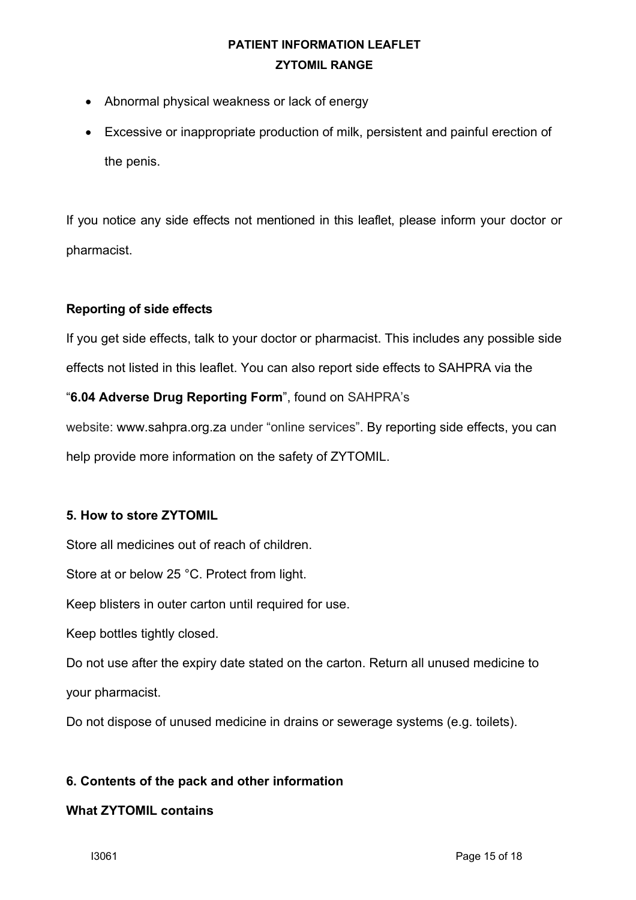- Abnormal physical weakness or lack of energy
- Excessive or inappropriate production of milk, persistent and painful erection of the penis.

If you notice any side effects not mentioned in this leaflet, please inform your doctor or pharmacist.

## **Reporting of side effects**

If you get side effects, talk to your doctor or pharmacist. This includes any possible side effects not listed in this leaflet. You can also report side effects to SAHPRA via the

## "**6.04 Adverse Drug Reporting Form**", found on SAHPRA's

website: www.sahpra.org.za under "online services". By reporting side effects, you can help provide more information on the safety of ZYTOMIL.

## **5. How to store ZYTOMIL**

Store all medicines out of reach of children.

Store at or below 25 °C. Protect from light.

Keep blisters in outer carton until required for use.

Keep bottles tightly closed.

Do not use after the expiry date stated on the carton. Return all unused medicine to your pharmacist.

Do not dispose of unused medicine in drains or sewerage systems (e.g. toilets).

## **6. Contents of the pack and other information**

## **What ZYTOMIL contains**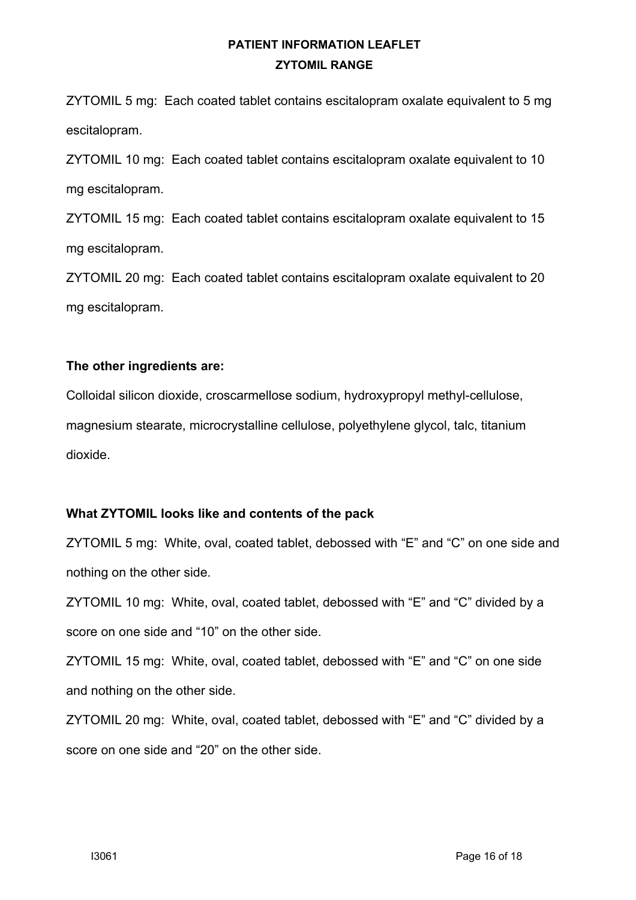ZYTOMIL 5 mg: Each coated tablet contains escitalopram oxalate equivalent to 5 mg escitalopram.

ZYTOMIL 10 mg: Each coated tablet contains escitalopram oxalate equivalent to 10 mg escitalopram.

ZYTOMIL 15 mg: Each coated tablet contains escitalopram oxalate equivalent to 15 mg escitalopram.

ZYTOMIL 20 mg: Each coated tablet contains escitalopram oxalate equivalent to 20 mg escitalopram.

### **The other ingredients are:**

Colloidal silicon dioxide, croscarmellose sodium, hydroxypropyl methyl-cellulose, magnesium stearate, microcrystalline cellulose, polyethylene glycol, talc, titanium dioxide.

## **What ZYTOMIL looks like and contents of the pack**

ZYTOMIL 5 mg: White, oval, coated tablet, debossed with "E" and "C" on one side and nothing on the other side.

ZYTOMIL 10 mg: White, oval, coated tablet, debossed with "E" and "C" divided by a score on one side and "10" on the other side.

ZYTOMIL 15 mg: White, oval, coated tablet, debossed with "E" and "C" on one side and nothing on the other side.

ZYTOMIL 20 mg: White, oval, coated tablet, debossed with "E" and "C" divided by a score on one side and "20" on the other side.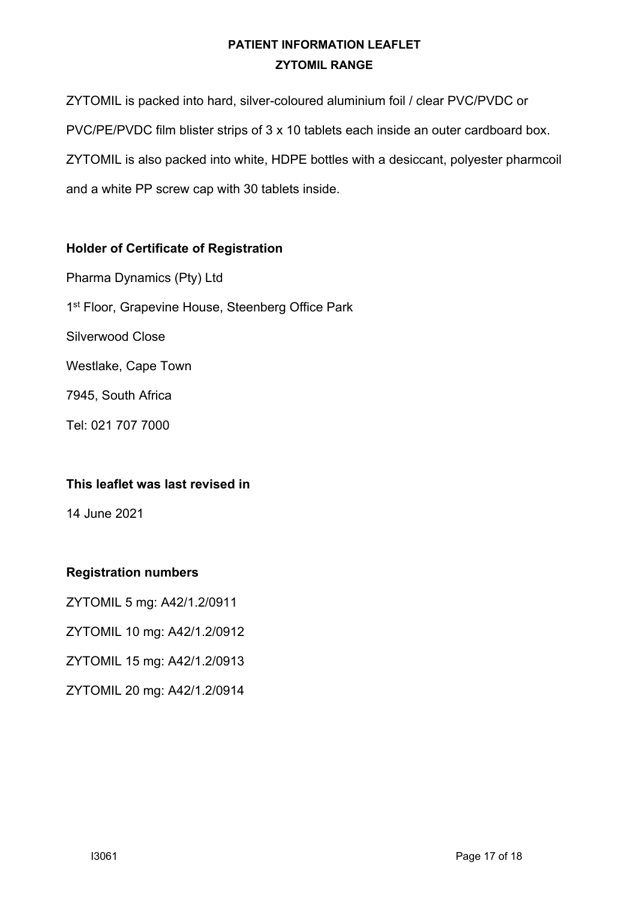ZYTOMIL is packed into hard, silver-coloured aluminium foil / clear PVC/PVDC or PVC/PE/PVDC film blister strips of 3 x 10 tablets each inside an outer cardboard box. ZYTOMIL is also packed into white, HDPE bottles with a desiccant, polyester pharmcoil and a white PP screw cap with 30 tablets inside.

## **Holder of Certificate of Registration**

Pharma Dynamics (Pty) Ltd 1<sup>st</sup> Floor, Grapevine House, Steenberg Office Park Silverwood Close Westlake, Cape Town 7945, South Africa Tel: 021 707 7000

## **This leaflet was last revised in**

14 June 2021

## **Registration numbers**

ZYTOMIL 5 mg: A42/1.2/0911

ZYTOMIL 10 mg: A42/1.2/0912

ZYTOMIL 15 mg: A42/1.2/0913

ZYTOMIL 20 mg: A42/1.2/0914